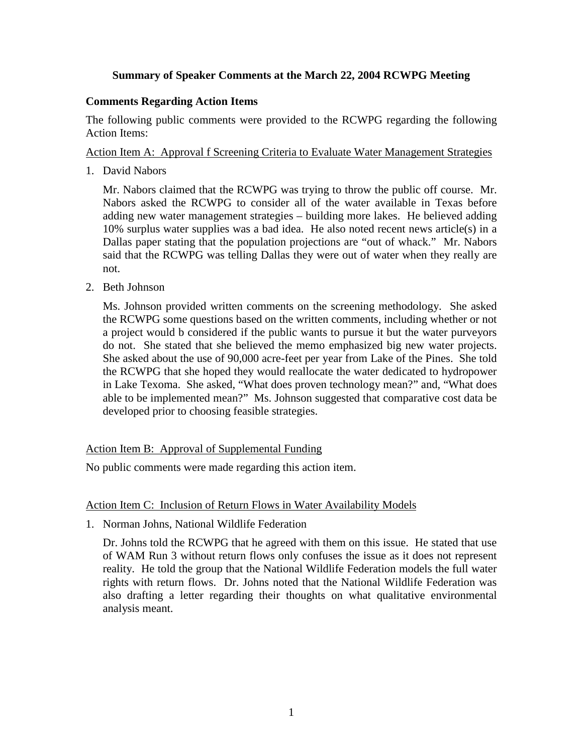# **Summary of Speaker Comments at the March 22, 2004 RCWPG Meeting**

## **Comments Regarding Action Items**

The following public comments were provided to the RCWPG regarding the following Action Items:

# Action Item A: Approval f Screening Criteria to Evaluate Water Management Strategies

1. David Nabors

Mr. Nabors claimed that the RCWPG was trying to throw the public off course. Mr. Nabors asked the RCWPG to consider all of the water available in Texas before adding new water management strategies – building more lakes. He believed adding 10% surplus water supplies was a bad idea. He also noted recent news article(s) in a Dallas paper stating that the population projections are "out of whack." Mr. Nabors said that the RCWPG was telling Dallas they were out of water when they really are not.

2. Beth Johnson

Ms. Johnson provided written comments on the screening methodology. She asked the RCWPG some questions based on the written comments, including whether or not a project would b considered if the public wants to pursue it but the water purveyors do not. She stated that she believed the memo emphasized big new water projects. She asked about the use of 90,000 acre-feet per year from Lake of the Pines. She told the RCWPG that she hoped they would reallocate the water dedicated to hydropower in Lake Texoma. She asked, "What does proven technology mean?" and, "What does able to be implemented mean?" Ms. Johnson suggested that comparative cost data be developed prior to choosing feasible strategies.

# Action Item B: Approval of Supplemental Funding

No public comments were made regarding this action item.

### Action Item C: Inclusion of Return Flows in Water Availability Models

1. Norman Johns, National Wildlife Federation

Dr. Johns told the RCWPG that he agreed with them on this issue. He stated that use of WAM Run 3 without return flows only confuses the issue as it does not represent reality. He told the group that the National Wildlife Federation models the full water rights with return flows. Dr. Johns noted that the National Wildlife Federation was also drafting a letter regarding their thoughts on what qualitative environmental analysis meant.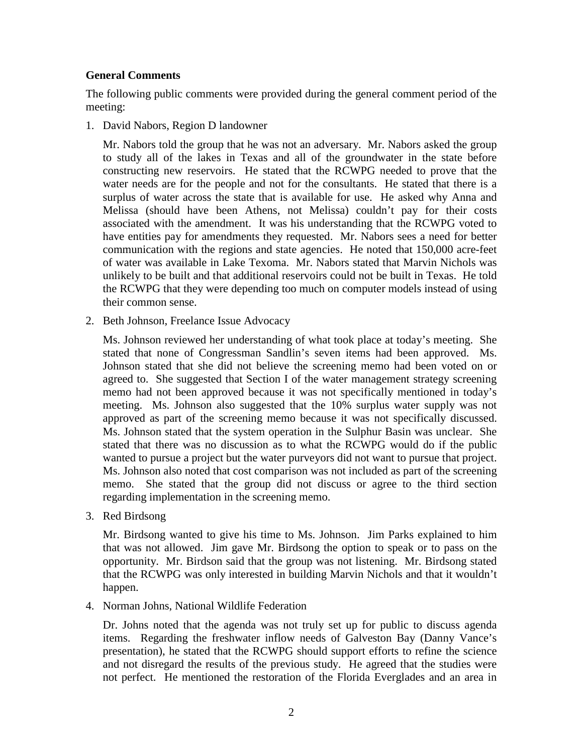## **General Comments**

The following public comments were provided during the general comment period of the meeting:

1. David Nabors, Region D landowner

Mr. Nabors told the group that he was not an adversary. Mr. Nabors asked the group to study all of the lakes in Texas and all of the groundwater in the state before constructing new reservoirs. He stated that the RCWPG needed to prove that the water needs are for the people and not for the consultants. He stated that there is a surplus of water across the state that is available for use. He asked why Anna and Melissa (should have been Athens, not Melissa) couldn't pay for their costs associated with the amendment. It was his understanding that the RCWPG voted to have entities pay for amendments they requested. Mr. Nabors sees a need for better communication with the regions and state agencies. He noted that 150,000 acre-feet of water was available in Lake Texoma. Mr. Nabors stated that Marvin Nichols was unlikely to be built and that additional reservoirs could not be built in Texas. He told the RCWPG that they were depending too much on computer models instead of using their common sense.

2. Beth Johnson, Freelance Issue Advocacy

Ms. Johnson reviewed her understanding of what took place at today's meeting. She stated that none of Congressman Sandlin's seven items had been approved. Ms. Johnson stated that she did not believe the screening memo had been voted on or agreed to. She suggested that Section I of the water management strategy screening memo had not been approved because it was not specifically mentioned in today's meeting. Ms. Johnson also suggested that the 10% surplus water supply was not approved as part of the screening memo because it was not specifically discussed. Ms. Johnson stated that the system operation in the Sulphur Basin was unclear. She stated that there was no discussion as to what the RCWPG would do if the public wanted to pursue a project but the water purveyors did not want to pursue that project. Ms. Johnson also noted that cost comparison was not included as part of the screening memo. She stated that the group did not discuss or agree to the third section regarding implementation in the screening memo.

3. Red Birdsong

Mr. Birdsong wanted to give his time to Ms. Johnson. Jim Parks explained to him that was not allowed. Jim gave Mr. Birdsong the option to speak or to pass on the opportunity. Mr. Birdson said that the group was not listening. Mr. Birdsong stated that the RCWPG was only interested in building Marvin Nichols and that it wouldn't happen.

4. Norman Johns, National Wildlife Federation

Dr. Johns noted that the agenda was not truly set up for public to discuss agenda items. Regarding the freshwater inflow needs of Galveston Bay (Danny Vance's presentation), he stated that the RCWPG should support efforts to refine the science and not disregard the results of the previous study. He agreed that the studies were not perfect. He mentioned the restoration of the Florida Everglades and an area in